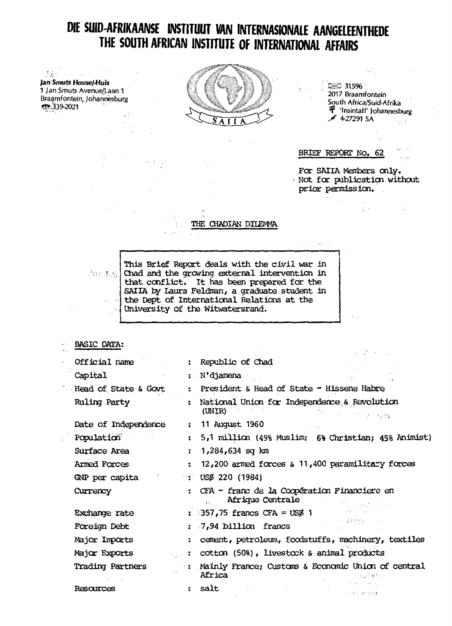## DIE SUID-AFRIKAANSE INSTITUUT VAN INTERNASIONALE AANGELEENTHEDE THE SOUTH AFRICAN INSTITUTE OF INTERNATIONAL AFFAIRS

 $\label{eq:2} \frac{1}{2\Delta t}\frac{d\omega}{d\omega}=\frac{1}{2\pi}\frac{d\omega}{d\omega},$ Jan Smuts House/-Huis 1 Jan Smuts Avenue/Laan 1 Braamfontein, Johannesburg ሚ.339-2021

 $\sim$   $^{\circ}$ 

 $\mathcal{A}$  and



 $\approx$  31596 2017 Braamfontein South Africa/Suid-Afrika 学 'Insintaff' Johannesburg  $\overline{\cancel{\phantom{1}}}}$  4-27291 SA  $\frac{1}{2} \frac{1}{2} \frac{1}{2}$  .

 $\omega_{\rm{eff}}=0.1$ 

 $\tau$  and

 $\mathcal{L}_{\text{eff}}$ 

 $\frac{1}{2\pi}$  ,  $\frac{1}{2}$ 

BRIEF REPORT No. 62

 $\mathcal{L}^{\mathcal{L}}$ 

 $\mathcal{F}=\mathcal{A}\mathcal{S}(\mathcal{G})$ 

 $\mathbb{R}^{n+1}$ 

For SAIIA Members only. Not for publication without prior permission.

> $\mathbb{R}^2$  $\mathcal{L}(\mathcal{L}^{\text{max}})$  . The  $\mathcal{L}(\mathcal{L}^{\text{max}})$

### THE CHADIAN DILEMMA

This Brief Report deals with the civil war in the state of the discoving external intervention in that conflict. It has been prepared for the SAIIA by Laura Feldman, a graduate student in the Dept of International Relations at the  $\alpha$ University of the Witwatersrand.

| <b>BASIC DATA:</b>      |                      | a di Santa                                                                                                                                       |
|-------------------------|----------------------|--------------------------------------------------------------------------------------------------------------------------------------------------|
| Official name           |                      | : Republic of Chad                                                                                                                               |
| Capital                 |                      | : N'djamena                                                                                                                                      |
| Head of State & Govt    | ٠.                   | President & Head of State - Hissene Habre                                                                                                        |
| Ruling Party            |                      | National Union for Independence & Revolution<br>(UNIR)<br>$\mathbb{R}^n$ , and $\mathbb{R}^n$ , $\mathbb{R}^n$ , $\mathbb{R}^n$ , $\mathbb{R}^n$ |
| Date of Independence    | $\ddot{\phantom{a}}$ | 11 August 1960                                                                                                                                   |
| Population              | $\ddot{\bullet}$     | 5,1 million (49% Muslim; 6% Christian; 45% Animist)                                                                                              |
| Surface Area            |                      | $: 1,284,634$ sq km                                                                                                                              |
| Armed Forces            | $\mathbf{z}$         | 12,200 armed forces & 11,400 paramilitary forces                                                                                                 |
| GNP per capita          |                      | $\therefore$ USS 220 (1984)                                                                                                                      |
| Currency                |                      | : CFA - franc de la Coopération Financiere en<br>Afrique Centrale                                                                                |
| Exchange rate           |                      | : 357,75 francs CFA = $US\beta$ 1                                                                                                                |
| Foreign Debt            |                      | 法实际 计<br>: 7,94 billion francs                                                                                                                   |
| Major Imports           |                      | : cement, petroleum, foodstuffs, machinery, textiles                                                                                             |
| Major Exports           |                      | : cotton (50%), livestock & animal products                                                                                                      |
| <b>Trading Partners</b> |                      | : Mainly France; Customs & Economic Union of central<br>Africa                                                                                   |
| Resources               |                      | salt<br>经自动工作 网络                                                                                                                                 |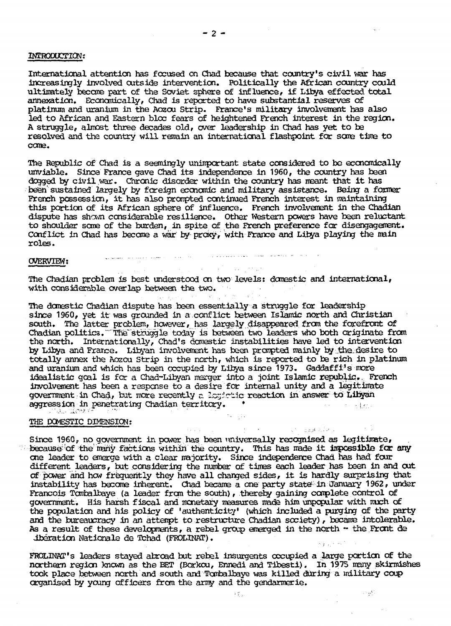### INTRODUCTION:

International attention has focused on Chad because that country's civil war has increasingly involved outside intervention. Politically the African country could ultimately become part of the Soviet sphere of influence, if Libya effected total annexation. Economically, Chad is reported to have substantial reserves of platinum and uranium in the Aozou Strip, trance's military involvement has also led to African and Eastern bloc fears of heightened French interest in the region. A struggle, almost three decades old, over leadership in Chad has yet to be resolved and the country will remain an international flashpoint for some time to come.

The Republic of Chad is a seemingly unimportant state considered to be economically unviable. Since France gave Chad its independence in 1960, the country has been dogged by civil war. Chronic disorder within the country has meant that it has been' sustained largely by foreign economic and military assistance. Being a former French possession, it has also prompted continued French interest in maintaining this portion of its African sphere of influence. French involvement in the Chadian dispute has shown considerable resilience. Other Western powers have been reluctant to shoulder some of the burden, in spite of the French preference for disengagemant. Conflict in Chad has become a war by proxy, with France and Libya playing the main roles.

### CWEKvTEH s '""•"

The Chadian problem is best understood on two levels: domestic and international, with considerable overlap between the two. **Strategic** 

 $\sim 10^{-10}$ 

 $\mathcal{A}^{\text{max}}_{\text{max}}$  , where  $\mathcal{A}^{\text{max}}_{\text{max}}$ 

 $\sim 10^{-11}$ 

Sales of the 19

The domestic Chadian dispute has been essentially a struggle for leadership *since* 1960, yet it was grounded in a conflict between Islamic north and Christian south. The latter problem, however, has largely disappeared from the forefront of Chadian politics. The struggle today is between two leaders who both originate from the north. Internationally, Chad's domestic instabilities have led to intervention by Libya and France. Libyan involvement has been prompted mainly by the desire to totally annex the Aozou Strip in the north, which is reported to be rich in platinum and uranium and which has been occupied by Libya since 1973. Gaddaffi's more idealistic goal is for a Chad-Libyan merger into a joint Islamic republic... French involvement has been a response to a desire for internal unity and a legitimate government in Chad, but more recently a Ixyistic reaction in answer to Libyan aggression in penetrating Chadian territory. \* . i, . *.".-x... :,ic^r •'••* •"•• " • *• • '*

#### THE DOMESTIC DIMENSION;

Since 1960, no government in power has been universally recognised as legitimate, because of the many factions within the country. This has made it impossible for any one leader to emerge with a clear majority. Since independence Chad has had four different leaders, but considering the number of times each leader has been in and cut of power and how frequently they have all changed sides, it is hardly surprising that instability has become inherent. Chad became a one party state<sup>1</sup> in January 1962, under Francois Tombalbaye (a leader from the south), thereby gaining complete control of government. His harsh fiscal and monetary neasures made him unpopular with nuch of government: This haish I model and makeury measures made had appeared with most of and the bureaucracy in an attenpt to restructure Chadian society), becane intolerable. As a result of these developments, a rebel group emerged in the north - the Front de iberation Nationale de Tchad (FROLINAT).

 $\mathcal{O}(\mathcal{O}_\mathcal{A}(\mathbb{C}^2))$ 

an mage historic

الكوردي

FROLINAT's leaders stayed abroad but rebel insurgents occupied a large portion of the northern region known as the BET (Borkou, Ennedi and Tibesti). In 1975 irony skirmishes took place between north and south and Tombalbaye was killed during a military coup organised by young officers from the arny and the gendarmerie.

Piller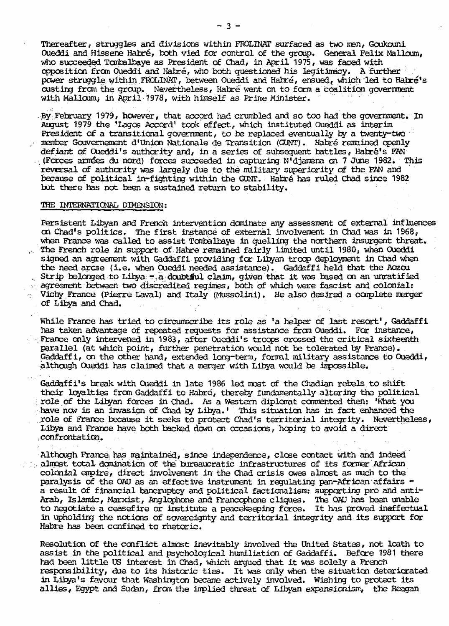Thereafter, struggles and divisions within FROLINAT surfaced as two men, Goukouni Oueddi and Hissene Habre, both vied for control of the group. General Felix Malloum, who succeeded Tombalbaye as President of Chad, in April 1975, was faced with opposition from Oueddi and Hahre, who both questioned his legitimacy. A further . power struggle within FROLINAT, between Oueddi and Habré, ensued, which led to Habré's custing from the group. Nevertheless, Habré went on to form a coalition government with Malloum, in April 1978, with himself as Prime Minister.

.By..February 1979, however, that accord had crumbled and so too had the government. In August 1979 the 'Lagos Accord' took  $\operatorname{effect}$ , which instituted Oueddi as interim President of a transitional government, to be replaced eventually by a twenty-two member Gouvernement d'Union Nationale de Transition (GUNT). Habré remained openly defiant of Oueddi's authority and, in a series of subsequent battles, Habré's FAN  $\cdot$  (Forces armées du nord) forces succeeded in capturing N'djamena on 7 June 1982. This reversal of authority was largely due to the military superiority of the FAN and because of political in-fighting within the GUNT. Habré has ruled Chad since 1982 but there has not been a sustained return to stability.

### THE INTERNATIONAL DIMENSION:

Persistent Libyan and French intervention dominate any assessment of external influences on Chad's politics. The first instance of external involvement in Chad was in 1968, when France was called to assist Tombalbaye in quelling the northern insurgent threat. . The French role in support of Habre remained fairly limited until 1980, when Oueddi signed an agreement with Gaddaffi providing for Libyan troop deployment in Chad when the need arcse (i.e. when Oueddi needed assistance). Gaddaffi held that the Aozou . Strip belonged to Libya;  $\pi$ , a doubtful claim, given that it was based on an unratified agreement between two discredited regimes, both of which were fascist and colonials  $\sim$  Vichy France (Pierre Laval) and Italy (Mussolini). He also desired a complete merger of Libya and Chad.

While France has tried to circumscribe its role as 'a helper of last resort', Gaddaffi has taken advantage of repeated requests for assistance from Oueddi, For instance, France only intervened in 1983, after Oueddi's troops crossed the critical sixteenth parallel (at which point, further penetration would not be tolerated by France). Gaddaffi, on the other hand, extended long-term, formal military assistance to Oueddi, although Oueddi has claimed that a merger with Libya would be impossible,

Gaddaffi's break with Oueddi in late 1986 led most of the Chadian rebels to shift their loyalties from Gaddaffi to Habré, thereby fundamentally altering the political role of the Lilyan forces in Chad. As a Western diplomat commented then; 'What you  $\rightarrow$  have now is an invasion of Chad by Libya.  $\vdots$  This situation has in fact enhanced the ...role of France because it seeks to protect Chad's territorial integrity. Nevertheless, Libya and France have both backed down on occasions, hoping to avoid a direct ..confrontation.

Although France, has maintained, since independence, close contact with and indeed  $\sim$  almost total domination of the bureaucratic infrastructures of its former African colonial empire, direct involvement in the Chad crisis owes almost as much to the paralysis of the OAU as an effective instrument in regulating pan-African affairs a result of financial bancruptcy and political factionalism: supporting pro and anti-Arab, Islamic, Marxist, Anglophone and Francophone cliques. The OAU has been unable to negotiate a ceasefire or institute a peacekeeping force. It has proved ineffectual in upholding the notions of sovereignty and territorial integrity and its support for Habre has been confined to rhetoric.

Resolution of the conflict almost inevitably involved the United States, not loath to assist in the political and psychological humiliation of Gaddaffi. Before 1981 there had been little US interest in Chad, which argued that it was solely a French responsibility, due to its historic ties. It was only when the situation deteriorated in Libya's favour that Washington became actively involved. Wishing to protect its allies, Egypt and Sudan, from the implied threat of Libyan expansionism, the Reagan